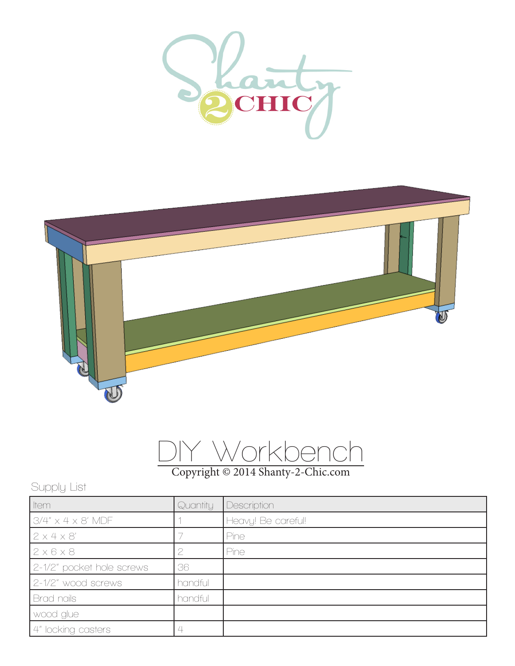





## Copyright © 2014 Shanty-2-Chic.com

## Supply List

| ltem                           | Quantity | Description        |
|--------------------------------|----------|--------------------|
| $3/4'' \times 4 \times 8'$ MDF |          | Heavy! Be careful! |
| 2x4x8'                         |          | <b>Pine</b>        |
| $2 \times 6 \times 8$          |          | Pine               |
| 2-1/2" pocket hole screws      | 36       |                    |
| 2-1/2" wood screws             | handful  |                    |
| Brad nails                     | handful  |                    |
| wood glue                      |          |                    |
| 4" locking casters             |          |                    |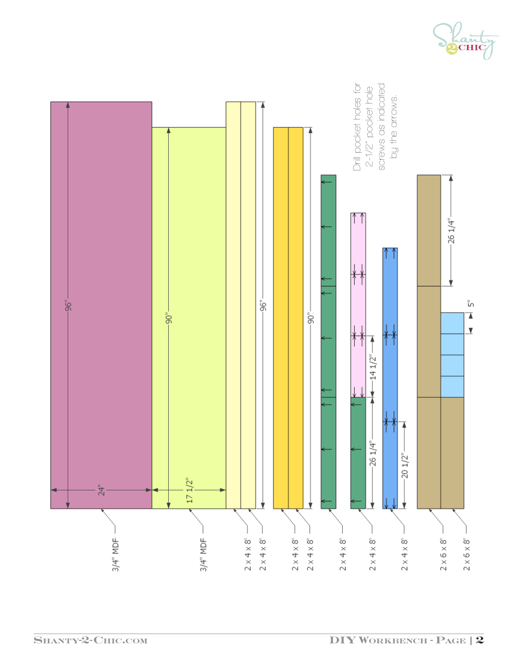

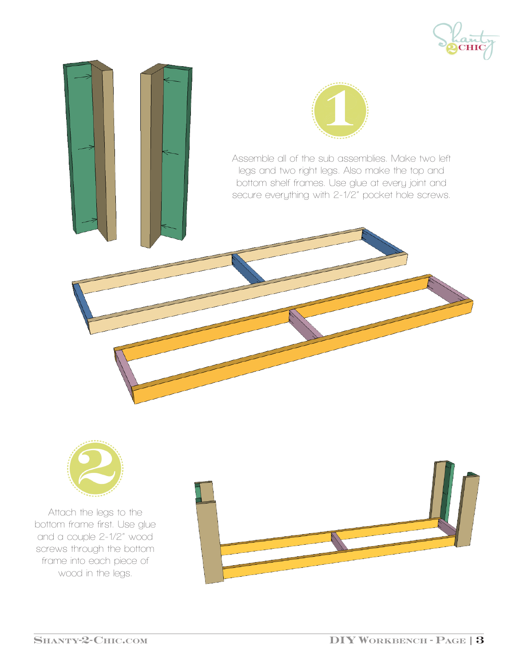





Attach the legs to the bottom frame first. Use glue and a couple 2-1/2" wood screws through the bottom frame into each piece of wood in the legs.